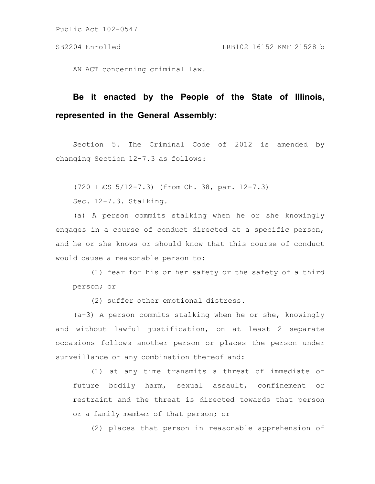AN ACT concerning criminal law.

## **Be it enacted by the People of the State of Illinois, represented in the General Assembly:**

Section 5. The Criminal Code of 2012 is amended by changing Section 12-7.3 as follows:

(720 ILCS 5/12-7.3) (from Ch. 38, par. 12-7.3)

Sec. 12-7.3. Stalking.

(a) A person commits stalking when he or she knowingly engages in a course of conduct directed at a specific person, and he or she knows or should know that this course of conduct would cause a reasonable person to:

(1) fear for his or her safety or the safety of a third person; or

(2) suffer other emotional distress.

(a-3) A person commits stalking when he or she, knowingly and without lawful justification, on at least 2 separate occasions follows another person or places the person under surveillance or any combination thereof and:

(1) at any time transmits a threat of immediate or future bodily harm, sexual assault, confinement or restraint and the threat is directed towards that person or a family member of that person; or

(2) places that person in reasonable apprehension of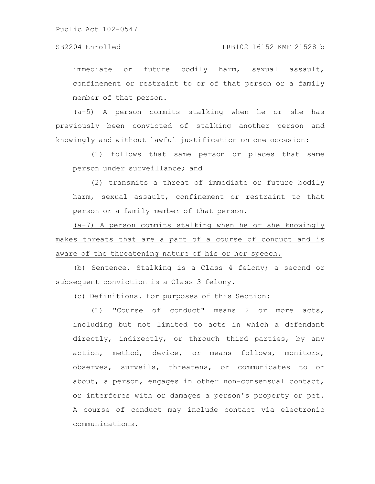## SB2204 Enrolled LRB102 16152 KMF 21528 b

immediate or future bodily harm, sexual assault, confinement or restraint to or of that person or a family member of that person.

(a-5) A person commits stalking when he or she has previously been convicted of stalking another person and knowingly and without lawful justification on one occasion:

(1) follows that same person or places that same person under surveillance; and

(2) transmits a threat of immediate or future bodily harm, sexual assault, confinement or restraint to that person or a family member of that person.

(a-7) A person commits stalking when he or she knowingly makes threats that are a part of a course of conduct and is aware of the threatening nature of his or her speech.

(b) Sentence. Stalking is a Class 4 felony; a second or subsequent conviction is a Class 3 felony.

(c) Definitions. For purposes of this Section:

(1) "Course of conduct" means 2 or more acts, including but not limited to acts in which a defendant directly, indirectly, or through third parties, by any action, method, device, or means follows, monitors, observes, surveils, threatens, or communicates to or about, a person, engages in other non-consensual contact, or interferes with or damages a person's property or pet. A course of conduct may include contact via electronic communications.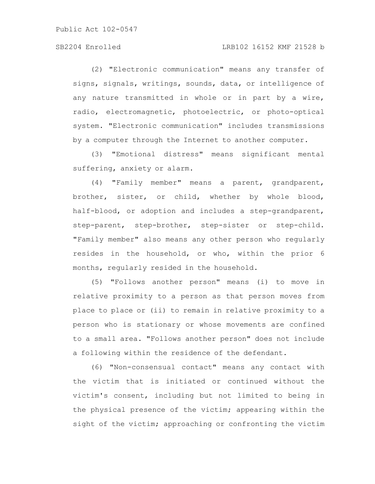## SB2204 Enrolled LRB102 16152 KMF 21528 b

(2) "Electronic communication" means any transfer of signs, signals, writings, sounds, data, or intelligence of any nature transmitted in whole or in part by a wire, radio, electromagnetic, photoelectric, or photo-optical system. "Electronic communication" includes transmissions by a computer through the Internet to another computer.

(3) "Emotional distress" means significant mental suffering, anxiety or alarm.

(4) "Family member" means a parent, grandparent, brother, sister, or child, whether by whole blood, half-blood, or adoption and includes a step-grandparent, step-parent, step-brother, step-sister or step-child. "Family member" also means any other person who regularly resides in the household, or who, within the prior 6 months, regularly resided in the household.

(5) "Follows another person" means (i) to move in relative proximity to a person as that person moves from place to place or (ii) to remain in relative proximity to a person who is stationary or whose movements are confined to a small area. "Follows another person" does not include a following within the residence of the defendant.

(6) "Non-consensual contact" means any contact with the victim that is initiated or continued without the victim's consent, including but not limited to being in the physical presence of the victim; appearing within the sight of the victim; approaching or confronting the victim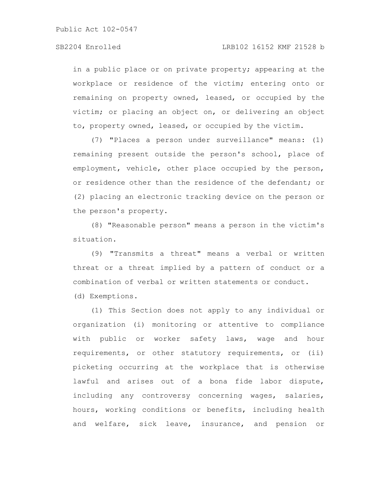in a public place or on private property; appearing at the workplace or residence of the victim; entering onto or remaining on property owned, leased, or occupied by the victim; or placing an object on, or delivering an object to, property owned, leased, or occupied by the victim.

(7) "Places a person under surveillance" means: (1) remaining present outside the person's school, place of employment, vehicle, other place occupied by the person, or residence other than the residence of the defendant; or (2) placing an electronic tracking device on the person or the person's property.

(8) "Reasonable person" means a person in the victim's situation.

(9) "Transmits a threat" means a verbal or written threat or a threat implied by a pattern of conduct or a combination of verbal or written statements or conduct.

(d) Exemptions.

(1) This Section does not apply to any individual or organization (i) monitoring or attentive to compliance with public or worker safety laws, wage and hour requirements, or other statutory requirements, or (ii) picketing occurring at the workplace that is otherwise lawful and arises out of a bona fide labor dispute, including any controversy concerning wages, salaries, hours, working conditions or benefits, including health and welfare, sick leave, insurance, and pension or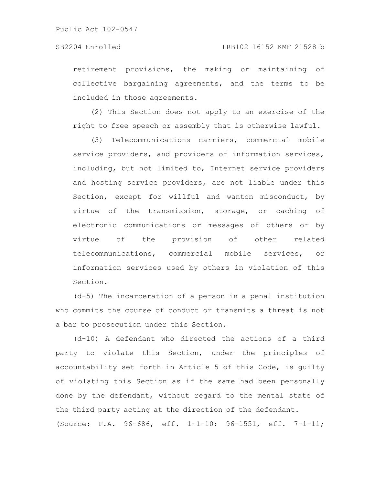retirement provisions, the making or maintaining of collective bargaining agreements, and the terms to be included in those agreements.

(2) This Section does not apply to an exercise of the right to free speech or assembly that is otherwise lawful.

(3) Telecommunications carriers, commercial mobile service providers, and providers of information services, including, but not limited to, Internet service providers and hosting service providers, are not liable under this Section, except for willful and wanton misconduct, by virtue of the transmission, storage, or caching of electronic communications or messages of others or by virtue of the provision of other related telecommunications, commercial mobile services, or information services used by others in violation of this Section.

(d-5) The incarceration of a person in a penal institution who commits the course of conduct or transmits a threat is not a bar to prosecution under this Section.

(d-10) A defendant who directed the actions of a third party to violate this Section, under the principles of accountability set forth in Article 5 of this Code, is guilty of violating this Section as if the same had been personally done by the defendant, without regard to the mental state of the third party acting at the direction of the defendant. (Source: P.A. 96-686, eff. 1-1-10; 96-1551, eff. 7-1-11;